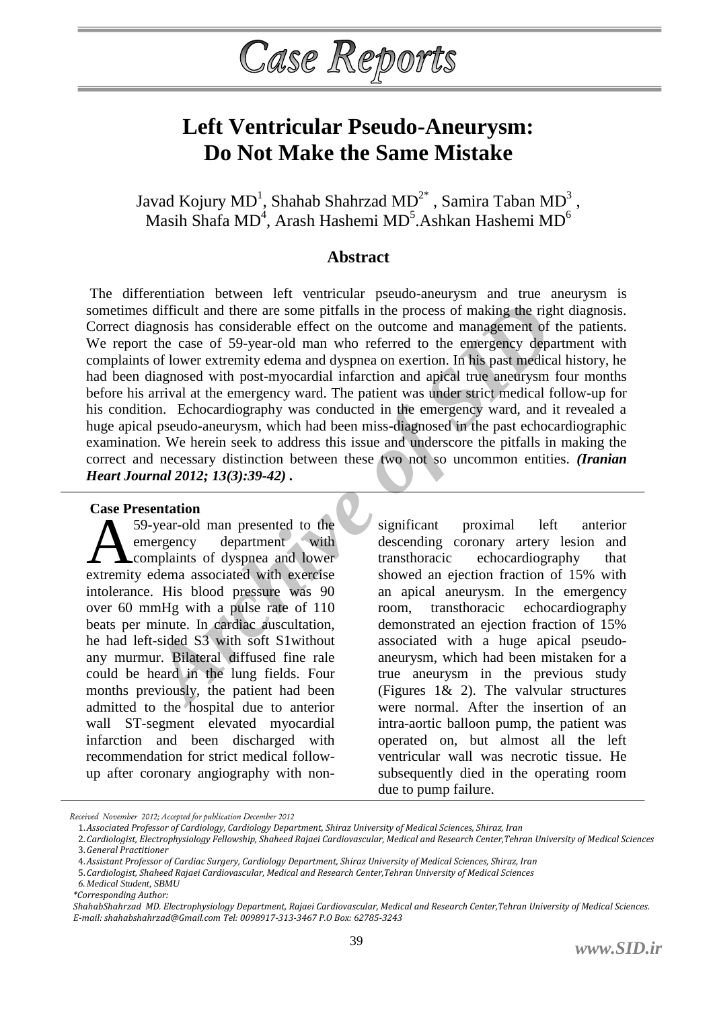# Case Reports

# **Left Ventricular Pseudo-Aneurysm: Do Not Make the Same Mistake**

Javad Kojury MD $^{\rm l}$ , Shahab Shahrzad MD $^{\rm 2^*}$  , Samira Taban MD $^{\rm 3}$  , Masih Shafa MD<sup>4</sup>, Arash Hashemi MD<sup>5</sup>.Ashkan Hashemi MD<sup>6</sup>

## **Abstract**

*Archive and there are some pitfalls in the process of making the riginal<br>gaposis has considerable effect on the outcome and management of<br>the case of 50-year-old man who referred to the emergency deparated in<br>diagnosed wi* The differentiation between left ventricular pseudo-aneurysm and true aneurysm is sometimes difficult and there are some pitfalls in the process of making the right diagnosis. Correct diagnosis has considerable effect on the outcome and management of the patients. We report the case of 59-year-old man who referred to the emergency department with complaints of lower extremity edema and dyspnea on exertion. In his past medical history, he had been diagnosed with post-myocardial infarction and apical true aneurysm four months before his arrival at the emergency ward. The patient was under strict medical follow-up for his condition. Echocardiography was conducted in the emergency ward, and it revealed a huge apical pseudo-aneurysm, which had been miss-diagnosed in the past echocardiographic examination. We herein seek to address this issue and underscore the pitfalls in making the correct and necessary distinction between these two not so uncommon entities. *(Iranian Heart Journal 2012; 13(3):39-42) .*

#### **Case Presentation**

59-year-old man presented to the emergency department with **L** complaints of dyspnea and lower Extra Freschiation<br>
59-year-old man presented to the<br>
emergency department with<br>
complaints of dyspnea and lower<br>
extremity edema associated with exercise intolerance. His blood pressure was 90 over 60 mmHg with a pulse rate of 110 beats per minute. In cardiac auscultation, he had left-sided S3 with soft S1without any murmur. Bilateral diffused fine rale could be heard in the lung fields. Four months previously, the patient had been admitted to the hospital due to anterior wall ST-segment elevated myocardial infarction and been discharged with recommendation for strict medical followup after coronary angiography with non-

significant proximal left anterior descending coronary artery lesion and transthoracic echocardiography that showed an ejection fraction of 15% with an apical aneurysm. In the emergency room, transthoracic echocardiography demonstrated an ejection fraction of 15% associated with a huge apical pseudoaneurysm, which had been mistaken for a true aneurysm in the previous study (Figures 1& 2). The valvular structures were normal. After the insertion of an intra-aortic balloon pump, the patient was operated on, but almost all the left ventricular wall was necrotic tissue. He subsequently died in the operating room due to pump failure.

*Received November 2012; Accepted for publication December 2012*

<sup>1.</sup>*Associated Professor of Cardiology, Cardiology Department, Shiraz University of Medical Sciences, Shiraz, Iran*

<sup>2.</sup>*Cardiologist, Electrophysiology Fellowship, Shaheed Rajaei Cardiovascular, Medical and Research Center,Tehran University of Medical Sciences* 3.*General Practitioner*

<sup>4.</sup>*Assistant Professor of Cardiac Surgery, Cardiology Department, Shiraz University of Medical Sciences, Shiraz, Iran*

<sup>5.</sup>*Cardiologist, Shaheed Rajaei Cardiovascular, Medical and Research Center,Tehran University of Medical Sciences*

*<sup>6.</sup> Medical Student, SBMU*

*<sup>\*</sup>Corresponding Author:*

*ShahabShahrzad MD. Electrophysiology Department, Rajaei Cardiovascular, Medical and Research Center,Tehran University of Medical Sciences. E-mail: shahabshahrzad@Gmail.com Tel: 0098917-313-3467 P.O Box: 62785-3243*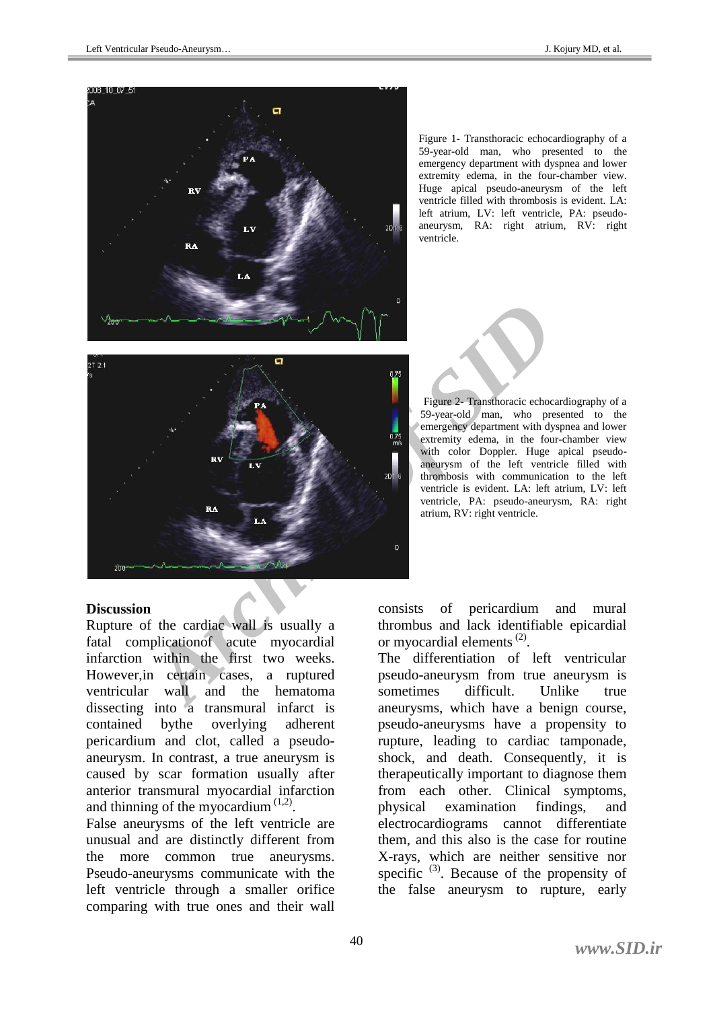

Figure 1- Transthoracic echocardiography of a 59-year-old man, who presented to the emergency department with dyspnea and lower extremity edema, in the four-chamber view. Huge apical pseudo-aneurysm of the left ventricle filled with thrombosis is evident. LA: left atrium, LV: left ventricle, PA: pseudoaneurysm, RA: right atrium, RV: right ventricle.



Figure 2- Transthoracic echocardiography of a 59-year-old man, who presented to the emergency department with dyspnea and lower extremity edema, in the four-chamber view with color Doppler. Huge apical pseudoaneurysm of the left ventricle filled with thrombosis with communication to the left ventricle is evident. LA: left atrium, LV: left ventricle, PA: pseudo-aneurysm, RA: right atrium, RV: right ventricle.

#### **Discussion**

Rupture of the cardiac wall is usually a fatal complicationof acute myocardial infarction within the first two weeks. However,in certain cases, a ruptured ventricular wall and the hematoma dissecting into a transmural infarct is contained bythe overlying adherent pericardium and clot, called a pseudoaneurysm. In contrast, a true aneurysm is caused by scar formation usually after anterior transmural myocardial infarction and thinning of the myocardium  $(1,2)$ .

False aneurysms of the left ventricle are unusual and are distinctly different from the more common true aneurysms. Pseudo-aneurysms communicate with the left ventricle through a smaller orifice comparing with true ones and their wall consists of pericardium and mural thrombus and lack identifiable epicardial or myocardial elements $^{(2)}$ .

The differentiation of left ventricular pseudo-aneurysm from true aneurysm is sometimes difficult. Unlike true aneurysms, which have a benign course, pseudo-aneurysms have a propensity to rupture, leading to cardiac tamponade, shock, and death. Consequently, it is therapeutically important to diagnose them from each other. Clinical symptoms, physical examination findings, and electrocardiograms cannot differentiate them, and this also is the case for routine X-rays, which are neither sensitive nor specific  $(3)$ . Because of the propensity of the false aneurysm to rupture, early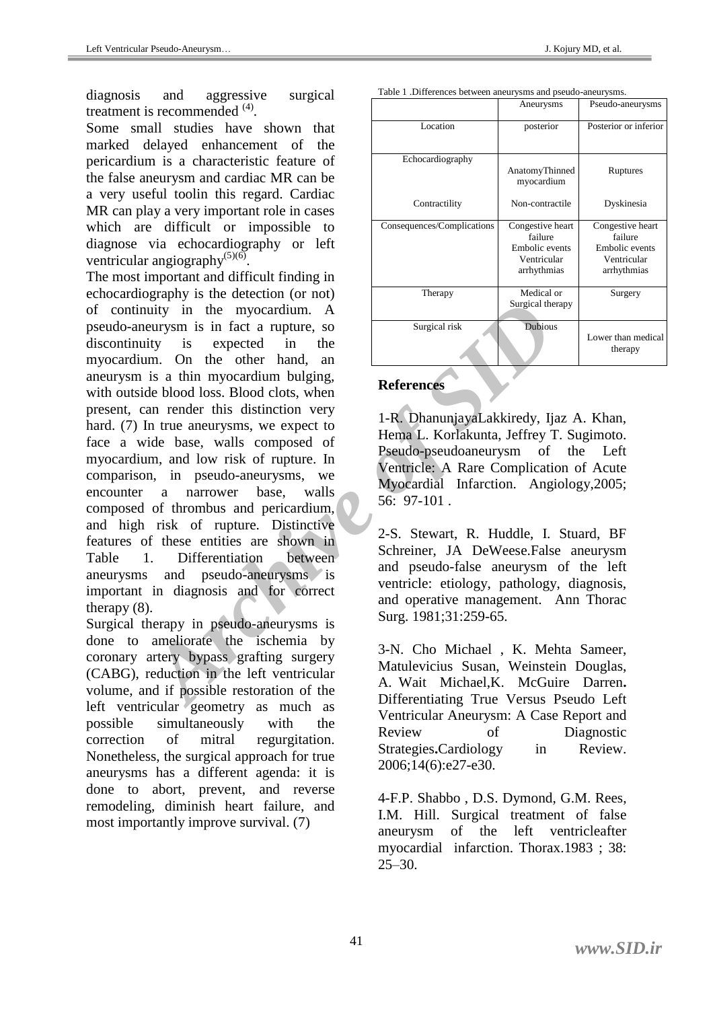diagnosis and aggressive surgical treatment is recommended <sup>(4)</sup>.

Some small studies have shown that marked delayed enhancement of the pericardium is a characteristic feature of the false aneurysm and cardiac MR can be a very useful toolin this regard. Cardiac MR can play a very important role in cases which are difficult or impossible to diagnose via echocardiography or left ventricular angiography $^{(5)(6)}$ .

Learly in the myocardium. A<br>
inty in the myocardium. A<br>
inty is expected in the<br>
Im. On the other hand, an<br>
is a thin myocardium bulging,<br>
de blood loos. Blood clots, when<br>
In true aneurysms, we expect to<br>
In true aneurysm The most important and difficult finding in echocardiography is the detection (or not) of continuity in the myocardium. A pseudo-aneurysm is in fact a rupture, so discontinuity is expected in the myocardium. On the other hand, an aneurysm is a thin myocardium bulging, with outside blood loss. Blood clots, when present, can render this distinction very hard. (7) In true aneurysms, we expect to face a wide base, walls composed of myocardium, and low risk of rupture. In comparison, in pseudo-aneurysms, we encounter a narrower base, walls composed of thrombus and pericardium, and high risk of rupture. Distinctive features of these entities are shown in Table 1. Differentiation between aneurysms and pseudo-aneurysms is important in diagnosis and for correct therapy (8).

Surgical therapy in pseudo-aneurysms is done to ameliorate the ischemia by coronary artery bypass grafting surgery (CABG), reduction in the left ventricular volume, and if possible restoration of the left ventricular geometry as much as possible simultaneously with the correction of mitral regurgitation. Nonetheless, the surgical approach for true aneurysms has a different agenda: it is done to abort, prevent, and reverse remodeling, diminish heart failure, and most importantly improve survival. (7)

| Table 1. Differences between aneurysins and pseudo-aneurysins. |                                                                             |                                                                             |
|----------------------------------------------------------------|-----------------------------------------------------------------------------|-----------------------------------------------------------------------------|
|                                                                | Aneurysms                                                                   | Pseudo-aneurysms                                                            |
| Location                                                       | posterior                                                                   | Posterior or inferior                                                       |
| Echocardiography                                               | AnatomyThinned<br>myocardium                                                | Ruptures                                                                    |
| Contractility                                                  | Non-contractile                                                             | Dyskinesia                                                                  |
| Consequences/Complications                                     | Congestive heart<br>failure<br>Embolic events<br>Ventricular<br>arrhythmias | Congestive heart<br>failure<br>Embolic events<br>Ventricular<br>arrhythmias |
| Therapy                                                        | Medical or<br>Surgical therapy                                              | Surgery                                                                     |
| Surgical risk                                                  | <b>Dubious</b>                                                              | Lower than medical<br>therapy                                               |

### **References**

1-R. DhanunjayaLakkiredy, Ijaz A. Khan, Hema L. Korlakunta, Jeffrey T. Sugimoto. Pseudo-pseudoaneurysm of the Left Ventricle: A Rare Complication of Acute Myocardial Infarction. Angiology,2005; 56: 97-101 .

2-S. Stewart, R. Huddle, I. Stuard, BF Schreiner, JA DeWeese.False aneurysm and pseudo-false aneurysm of the left ventricle: etiology, pathology, diagnosis, and operative management. Ann Thorac Surg. 1981;31:259-65.

3-N. Cho Michael , K. Mehta Sameer, Matulevicius Susan, Weinstein Douglas, A. Wait Michael,K. McGuire Darren**.**  Differentiating True Versus Pseudo Left Ventricular Aneurysm: A Case Report and Review of Diagnostic Strategies**.**Cardiology in Review. 2006;14(6):e27-e30.

4-F.P. Shabbo , D.S. Dymond, G.M. Rees, I.M. Hill. Surgical treatment of false aneurysm of the left ventricleafter myocardial infarction. Thorax.1983 ; 38:  $25 - 30$ .